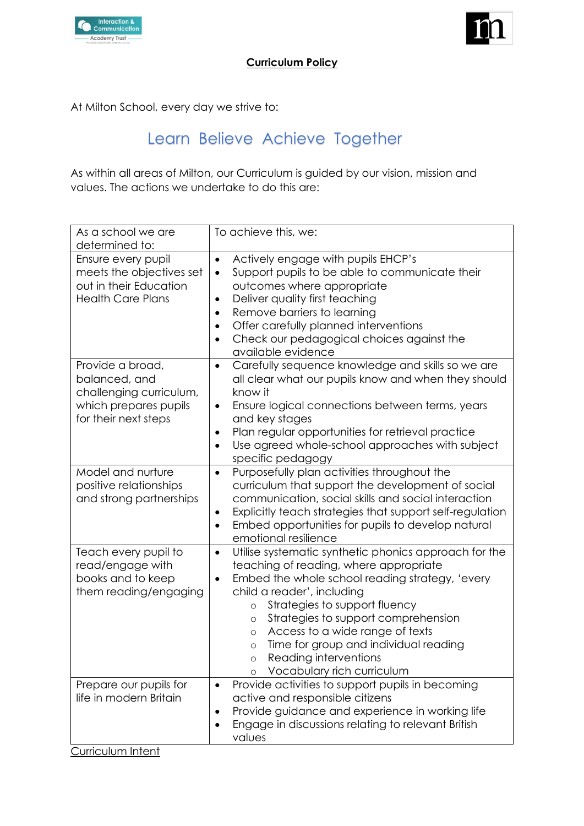



# **Curriculum Policy**

At Milton School, every day we strive to:

# Learn Believe Achieve Together

As within all areas of Milton, our Curriculum is guided by our vision, mission and values. The actions we undertake to do this are:

| As a school we are<br>determined to:                                                                          | To achieve this, we:                                                                                                                                                                                                                                                                                                                                                                                                                                           |
|---------------------------------------------------------------------------------------------------------------|----------------------------------------------------------------------------------------------------------------------------------------------------------------------------------------------------------------------------------------------------------------------------------------------------------------------------------------------------------------------------------------------------------------------------------------------------------------|
| Ensure every pupil<br>meets the objectives set<br>out in their Education<br><b>Health Care Plans</b>          | Actively engage with pupils EHCP's<br>$\bullet$<br>Support pupils to be able to communicate their<br>$\bullet$<br>outcomes where appropriate<br>Deliver quality first teaching<br>$\bullet$<br>Remove barriers to learning<br>$\bullet$<br>Offer carefully planned interventions<br>Check our pedagogical choices against the<br>available evidence                                                                                                            |
| Provide a broad,<br>balanced, and<br>challenging curriculum,<br>which prepares pupils<br>for their next steps | Carefully sequence knowledge and skills so we are<br>$\bullet$<br>all clear what our pupils know and when they should<br>know it<br>Ensure logical connections between terms, years<br>$\bullet$<br>and key stages<br>Plan regular opportunities for retrieval practice<br>Use agreed whole-school approaches with subject<br>specific pedagogy                                                                                                                |
| Model and nurture<br>positive relationships<br>and strong partnerships                                        | Purposefully plan activities throughout the<br>$\bullet$<br>curriculum that support the development of social<br>communication, social skills and social interaction<br>Explicitly teach strategies that support self-regulation<br>٠<br>Embed opportunities for pupils to develop natural<br>$\bullet$<br>emotional resilience                                                                                                                                |
| Teach every pupil to<br>read/engage with<br>books and to keep<br>them reading/engaging                        | Utilise systematic synthetic phonics approach for the<br>$\bullet$<br>teaching of reading, where appropriate<br>Embed the whole school reading strategy, 'every<br>٠<br>child a reader', including<br>Strategies to support fluency<br>$\circ$<br>Strategies to support comprehension<br>O<br>Access to a wide range of texts<br>$\circ$<br>Time for group and individual reading<br>$\circ$<br>Reading interventions<br>$\circ$<br>Vocabulary rich curriculum |
| Prepare our pupils for<br>life in modern Britain<br><u>Curriculum Intent</u>                                  | Provide activities to support pupils in becoming<br>$\bullet$<br>active and responsible citizens<br>Provide guidance and experience in working life<br>$\bullet$<br>Engage in discussions relating to relevant British<br>$\bullet$<br>values                                                                                                                                                                                                                  |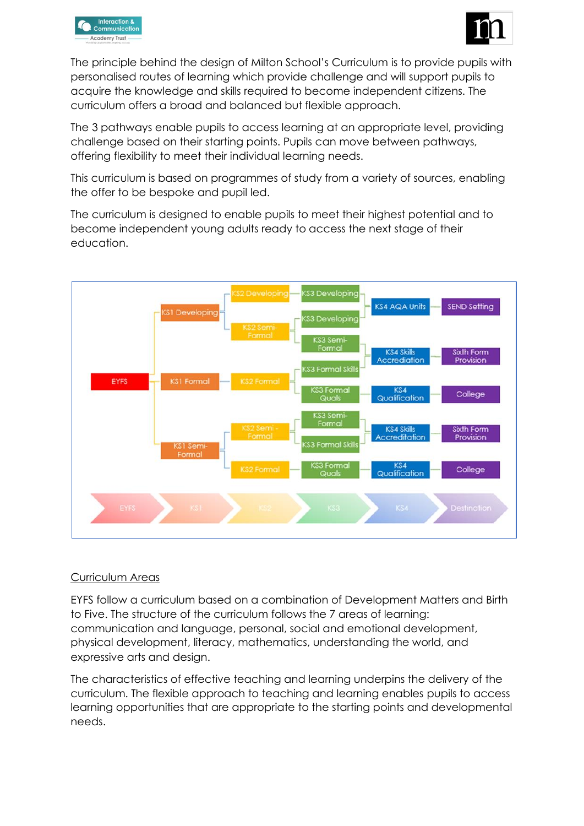



The principle behind the design of Milton School's Curriculum is to provide pupils with personalised routes of learning which provide challenge and will support pupils to acquire the knowledge and skills required to become independent citizens. The curriculum offers a broad and balanced but flexible approach.

The 3 pathways enable pupils to access learning at an appropriate level, providing challenge based on their starting points. Pupils can move between pathways, offering flexibility to meet their individual learning needs.

This curriculum is based on programmes of study from a variety of sources, enabling the offer to be bespoke and pupil led.

The curriculum is designed to enable pupils to meet their highest potential and to become independent young adults ready to access the next stage of their education.



#### Curriculum Areas

EYFS follow a curriculum based on a combination of Development Matters and Birth to Five. The structure of the curriculum follows the 7 areas of learning: communication and language, personal, social and emotional development, physical development, literacy, mathematics, understanding the world, and expressive arts and design.

The characteristics of effective teaching and learning underpins the delivery of the curriculum. The flexible approach to teaching and learning enables pupils to access learning opportunities that are appropriate to the starting points and developmental needs.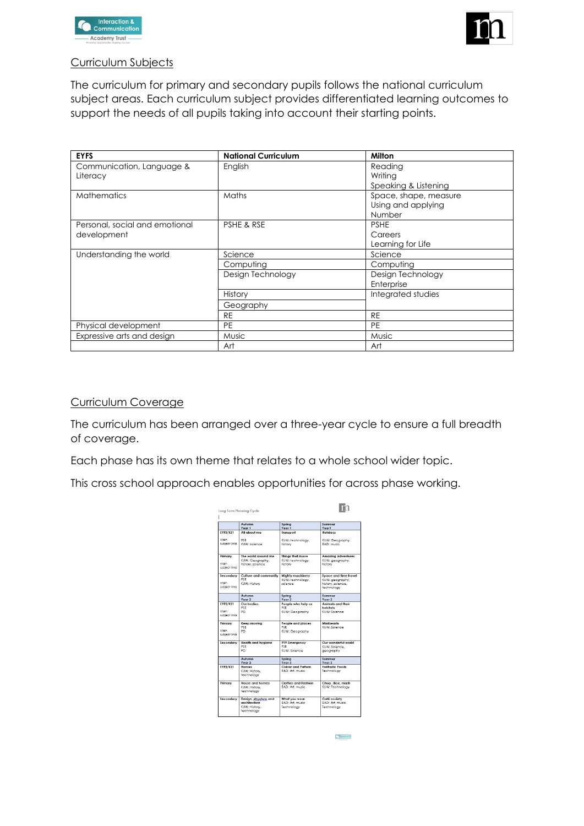



## Curriculum Subjects

The curriculum for primary and secondary pupils follows the national curriculum subject areas. Each curriculum subject provides differentiated learning outcomes to support the needs of all pupils taking into account their starting points.

| <b>EYFS</b>                    | <b>National Curriculum</b> | Milton                |
|--------------------------------|----------------------------|-----------------------|
| Communication, Language &      | English                    | Reading               |
| Literacy                       |                            | Writing               |
|                                |                            | Speaking & Listening  |
| <b>Mathematics</b>             | Maths                      | Space, shape, measure |
|                                |                            | Using and applying    |
|                                |                            | Number                |
| Personal, social and emotional | PSHE & RSE                 | <b>PSHE</b>           |
| development                    |                            | Careers               |
|                                |                            | Learning for Life     |
| Understanding the world        | Science                    | Science               |
|                                | Computing                  | Computing             |
|                                | Design Technology          | Design Technology     |
|                                |                            | Enterprise            |
|                                | History                    | Integrated studies    |
|                                | Geography                  |                       |
|                                | <b>RE</b>                  | <b>RE</b>             |
| Physical development           | <b>PE</b>                  | <b>PE</b>             |
| Expressive arts and design     | Music                      | Music                 |
|                                | Art                        | Art                   |

#### Curriculum Coverage

The curriculum has been arranged over a three-year cycle to ensure a full breadth of coverage.

Each phase has its own theme that relates to a whole school wider topic.

This cross school approach enables opportunities for across phase working.

| KUW: Geography<br>PSF<br>KUW: technology.<br>subject links<br>KUW: solence<br><b>EAD</b> : music<br>history<br>Things that move<br>The world ground me<br>KUW: Geography,<br>KUW: technology.<br>KUW: geography,<br>history, science<br>history<br>history<br>Culture and community<br>Mighty machinery<br>Space and time travel<br>PSE<br>KUW: technology.<br>KUW: geography,<br>KUW: History<br>science<br>history, science.<br>technology<br>Summer<br>Autumn<br>Spring<br>Year 2<br>Year <sub>2</sub><br>Year 2<br>Our bodies<br>People who help us<br>Animals and their<br>PSE<br>habitate<br>PSE<br>P <sub>D</sub><br>KUW: Solence<br>KUW: Geography<br>Keep moving<br>People and places<br>Minibeasts<br>PSE<br>KUW: Science<br>PSE<br>KUW: Geography<br>PD<br><b>Health and hygiene</b><br>999 Emergency<br>Our wonderful world<br>PSE<br>PSF<br>KUW: Solence<br>KUW: Saienae<br>PD<br>geography<br>Autumn<br>Summer<br>Spring<br>Year 3<br>Year <sub>3</sub><br>Year <sub>3</sub><br><b>Colour and Pattern</b><br><b>Fantastic Foods</b><br>Homes<br>EAD: Art. music<br>Technology<br>KUW: History.<br>technology<br><b>House and homes</b><br><b>Clothes and Fashion</b><br>Primary<br>Chop, slice, mash<br>EAD: Art. music.<br>KUW: Technology<br>KUW: History.<br>technology<br>Café society<br>Design, structure and<br>What you wear<br>architecture<br>EAD: Art. music<br>EAD: Art. music<br>KUW: History.<br>Technology<br>Technology<br>technology |          | Autumn<br>Year 1 | Spring<br>Year <sub>1</sub> | Summer<br>Yearl           |
|---------------------------------------------------------------------------------------------------------------------------------------------------------------------------------------------------------------------------------------------------------------------------------------------------------------------------------------------------------------------------------------------------------------------------------------------------------------------------------------------------------------------------------------------------------------------------------------------------------------------------------------------------------------------------------------------------------------------------------------------------------------------------------------------------------------------------------------------------------------------------------------------------------------------------------------------------------------------------------------------------------------------------------------------------------------------------------------------------------------------------------------------------------------------------------------------------------------------------------------------------------------------------------------------------------------------------------------------------------------------------------------------------------------------------------------------------------------------|----------|------------------|-----------------------------|---------------------------|
|                                                                                                                                                                                                                                                                                                                                                                                                                                                                                                                                                                                                                                                                                                                                                                                                                                                                                                                                                                                                                                                                                                                                                                                                                                                                                                                                                                                                                                                                     | EYFS/KS1 | All about me     | Transport                   | Holidays                  |
|                                                                                                                                                                                                                                                                                                                                                                                                                                                                                                                                                                                                                                                                                                                                                                                                                                                                                                                                                                                                                                                                                                                                                                                                                                                                                                                                                                                                                                                                     | Main     |                  |                             |                           |
| Primary<br>Main                                                                                                                                                                                                                                                                                                                                                                                                                                                                                                                                                                                                                                                                                                                                                                                                                                                                                                                                                                                                                                                                                                                                                                                                                                                                                                                                                                                                                                                     |          |                  |                             |                           |
|                                                                                                                                                                                                                                                                                                                                                                                                                                                                                                                                                                                                                                                                                                                                                                                                                                                                                                                                                                                                                                                                                                                                                                                                                                                                                                                                                                                                                                                                     |          |                  |                             | <b>Amazing adventures</b> |
| sublect links<br>Secondary                                                                                                                                                                                                                                                                                                                                                                                                                                                                                                                                                                                                                                                                                                                                                                                                                                                                                                                                                                                                                                                                                                                                                                                                                                                                                                                                                                                                                                          |          |                  |                             |                           |
|                                                                                                                                                                                                                                                                                                                                                                                                                                                                                                                                                                                                                                                                                                                                                                                                                                                                                                                                                                                                                                                                                                                                                                                                                                                                                                                                                                                                                                                                     |          |                  |                             |                           |
|                                                                                                                                                                                                                                                                                                                                                                                                                                                                                                                                                                                                                                                                                                                                                                                                                                                                                                                                                                                                                                                                                                                                                                                                                                                                                                                                                                                                                                                                     |          |                  |                             |                           |
| subject links<br>EYFS/KS1<br>Main<br>subject links<br>Primary<br>Main<br>subject links<br>Secondary<br>EYFS/KS1<br>Secondary                                                                                                                                                                                                                                                                                                                                                                                                                                                                                                                                                                                                                                                                                                                                                                                                                                                                                                                                                                                                                                                                                                                                                                                                                                                                                                                                        | Main     |                  |                             |                           |
|                                                                                                                                                                                                                                                                                                                                                                                                                                                                                                                                                                                                                                                                                                                                                                                                                                                                                                                                                                                                                                                                                                                                                                                                                                                                                                                                                                                                                                                                     |          |                  |                             |                           |
|                                                                                                                                                                                                                                                                                                                                                                                                                                                                                                                                                                                                                                                                                                                                                                                                                                                                                                                                                                                                                                                                                                                                                                                                                                                                                                                                                                                                                                                                     |          |                  |                             |                           |
|                                                                                                                                                                                                                                                                                                                                                                                                                                                                                                                                                                                                                                                                                                                                                                                                                                                                                                                                                                                                                                                                                                                                                                                                                                                                                                                                                                                                                                                                     |          |                  |                             |                           |
|                                                                                                                                                                                                                                                                                                                                                                                                                                                                                                                                                                                                                                                                                                                                                                                                                                                                                                                                                                                                                                                                                                                                                                                                                                                                                                                                                                                                                                                                     |          |                  |                             |                           |
|                                                                                                                                                                                                                                                                                                                                                                                                                                                                                                                                                                                                                                                                                                                                                                                                                                                                                                                                                                                                                                                                                                                                                                                                                                                                                                                                                                                                                                                                     |          |                  |                             |                           |
|                                                                                                                                                                                                                                                                                                                                                                                                                                                                                                                                                                                                                                                                                                                                                                                                                                                                                                                                                                                                                                                                                                                                                                                                                                                                                                                                                                                                                                                                     |          |                  |                             |                           |
|                                                                                                                                                                                                                                                                                                                                                                                                                                                                                                                                                                                                                                                                                                                                                                                                                                                                                                                                                                                                                                                                                                                                                                                                                                                                                                                                                                                                                                                                     |          |                  |                             |                           |
|                                                                                                                                                                                                                                                                                                                                                                                                                                                                                                                                                                                                                                                                                                                                                                                                                                                                                                                                                                                                                                                                                                                                                                                                                                                                                                                                                                                                                                                                     |          |                  |                             |                           |
|                                                                                                                                                                                                                                                                                                                                                                                                                                                                                                                                                                                                                                                                                                                                                                                                                                                                                                                                                                                                                                                                                                                                                                                                                                                                                                                                                                                                                                                                     |          |                  |                             |                           |
|                                                                                                                                                                                                                                                                                                                                                                                                                                                                                                                                                                                                                                                                                                                                                                                                                                                                                                                                                                                                                                                                                                                                                                                                                                                                                                                                                                                                                                                                     |          |                  |                             |                           |
|                                                                                                                                                                                                                                                                                                                                                                                                                                                                                                                                                                                                                                                                                                                                                                                                                                                                                                                                                                                                                                                                                                                                                                                                                                                                                                                                                                                                                                                                     |          |                  |                             |                           |
|                                                                                                                                                                                                                                                                                                                                                                                                                                                                                                                                                                                                                                                                                                                                                                                                                                                                                                                                                                                                                                                                                                                                                                                                                                                                                                                                                                                                                                                                     |          |                  |                             |                           |
|                                                                                                                                                                                                                                                                                                                                                                                                                                                                                                                                                                                                                                                                                                                                                                                                                                                                                                                                                                                                                                                                                                                                                                                                                                                                                                                                                                                                                                                                     |          |                  |                             |                           |
|                                                                                                                                                                                                                                                                                                                                                                                                                                                                                                                                                                                                                                                                                                                                                                                                                                                                                                                                                                                                                                                                                                                                                                                                                                                                                                                                                                                                                                                                     |          |                  |                             |                           |
|                                                                                                                                                                                                                                                                                                                                                                                                                                                                                                                                                                                                                                                                                                                                                                                                                                                                                                                                                                                                                                                                                                                                                                                                                                                                                                                                                                                                                                                                     |          |                  |                             |                           |
|                                                                                                                                                                                                                                                                                                                                                                                                                                                                                                                                                                                                                                                                                                                                                                                                                                                                                                                                                                                                                                                                                                                                                                                                                                                                                                                                                                                                                                                                     |          |                  |                             |                           |
|                                                                                                                                                                                                                                                                                                                                                                                                                                                                                                                                                                                                                                                                                                                                                                                                                                                                                                                                                                                                                                                                                                                                                                                                                                                                                                                                                                                                                                                                     |          |                  |                             |                           |
|                                                                                                                                                                                                                                                                                                                                                                                                                                                                                                                                                                                                                                                                                                                                                                                                                                                                                                                                                                                                                                                                                                                                                                                                                                                                                                                                                                                                                                                                     |          |                  |                             |                           |
|                                                                                                                                                                                                                                                                                                                                                                                                                                                                                                                                                                                                                                                                                                                                                                                                                                                                                                                                                                                                                                                                                                                                                                                                                                                                                                                                                                                                                                                                     |          |                  |                             |                           |
|                                                                                                                                                                                                                                                                                                                                                                                                                                                                                                                                                                                                                                                                                                                                                                                                                                                                                                                                                                                                                                                                                                                                                                                                                                                                                                                                                                                                                                                                     |          |                  |                             |                           |
|                                                                                                                                                                                                                                                                                                                                                                                                                                                                                                                                                                                                                                                                                                                                                                                                                                                                                                                                                                                                                                                                                                                                                                                                                                                                                                                                                                                                                                                                     |          |                  |                             |                           |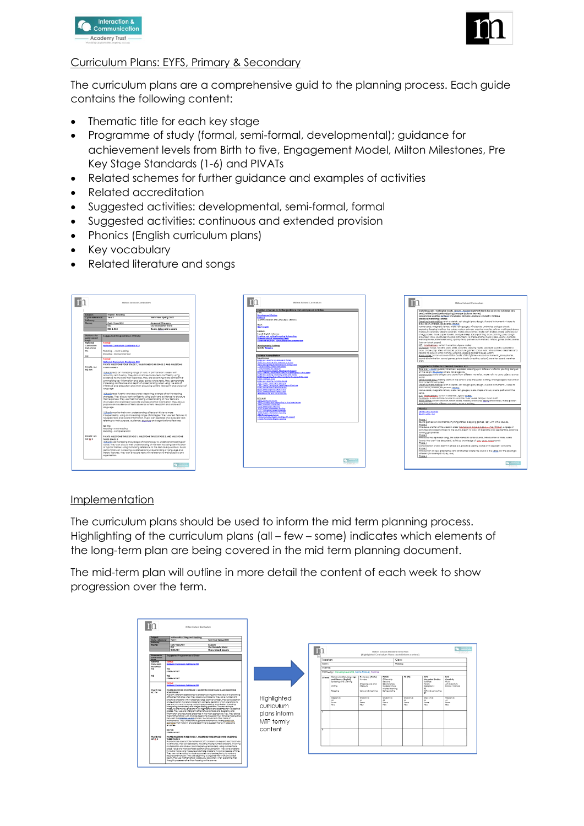



# Curriculum Plans: EYFS, Primary & Secondary

The curriculum plans are a comprehensive guid to the planning process. Each guide contains the following content:

- Thematic title for each key stage
- Programme of study (formal, semi-formal, developmental); guidance for achievement levels from Birth to five, Engagement Model, Milton Milestones, Pre Key Stage Standards (1-6) and PIVATs
- Related schemes for further guidance and examples of activities
- Related accreditation
- Suggested activities: developmental, semi-formal, formal
- Suggested activities: continuous and extended provision
- Phonics (English curriculum plans)
- Key vocabulary
- Related literature and songs



#### Implementation

The curriculum plans should be used to inform the mid term planning process. Highlighting of the curriculum plans (all – few – some) indicates which elements of the long-term plan are being covered in the mid term planning document.

The mid-term plan will outline in more detail the content of each week to show progression over the term.

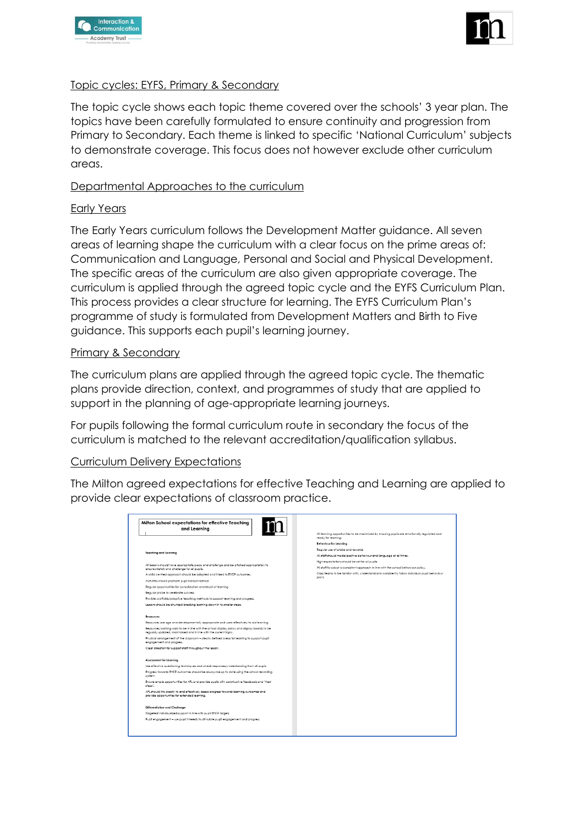



# Topic cycles: EYFS, Primary & Secondary

The topic cycle shows each topic theme covered over the schools' 3 year plan. The topics have been carefully formulated to ensure continuity and progression from Primary to Secondary. Each theme is linked to specific 'National Curriculum' subjects to demonstrate coverage. This focus does not however exclude other curriculum areas.

# Departmental Approaches to the curriculum

#### Early Years

The Early Years curriculum follows the Development Matter guidance. All seven areas of learning shape the curriculum with a clear focus on the prime areas of: Communication and Language, Personal and Social and Physical Development. The specific areas of the curriculum are also given appropriate coverage. The curriculum is applied through the agreed topic cycle and the EYFS Curriculum Plan. This process provides a clear structure for learning. The EYFS Curriculum Plan's programme of study is formulated from Development Matters and Birth to Five guidance. This supports each pupil's learning journey.

## Primary & Secondary

The curriculum plans are applied through the agreed topic cycle. The thematic plans provide direction, context, and programmes of study that are applied to support in the planning of age-appropriate learning journeys.

For pupils following the formal curriculum route in secondary the focus of the curriculum is matched to the relevant accreditation/qualification syllabus.

# Curriculum Delivery Expectations

The Milton agreed expectations for effective Teaching and Learning are applied to provide clear expectations of classroom practice.

| Milton School expectations for effective Teaching<br>and Learning                                                                                                  | All learning opportunities to be maximised by ensuring pupils are emotionally regulated and<br>ready for learning.<br><b>Behaviour for Learning</b><br>Requier use of praise and rewards |
|--------------------------------------------------------------------------------------------------------------------------------------------------------------------|------------------------------------------------------------------------------------------------------------------------------------------------------------------------------------------|
| <b>Teaching and Learning</b>                                                                                                                                       | All staff should model positive behaviour and language at all times.                                                                                                                     |
|                                                                                                                                                                    | High expectations should be set for all pupils                                                                                                                                           |
| All lessons should have appropriate pace and challenge and be pitched appropriately to<br>ensure stretch and challenge for all pupils.                             | All staff to adopt a consistent approach in line with the school behaviour policy.                                                                                                       |
| A child centred approach should be adopted and linked to EHCP outcomes.                                                                                            | Class teams to be familiar with, understand and consistently follow individual pupil behaviour<br>plans                                                                                  |
| Activities should promote pupil independence                                                                                                                       |                                                                                                                                                                                          |
| Requiar opportunities for consolidation and recall of learning                                                                                                     |                                                                                                                                                                                          |
| Reaular praise to celebrate success                                                                                                                                |                                                                                                                                                                                          |
| Provide scaffolds/adaptive teaching methods to support learning and progress.                                                                                      |                                                                                                                                                                                          |
| Lessons should be chunked breaking learning down in to smaller steps.                                                                                              |                                                                                                                                                                                          |
| Resources                                                                                                                                                          |                                                                                                                                                                                          |
| Resources are age and developmentally appropriate and used effectively to aid learning.                                                                            |                                                                                                                                                                                          |
| Resources/working walls to be in line with the school display policy and display boards to be<br>regularly updated, maintained and in line with the current topic. |                                                                                                                                                                                          |
| Physical amangement of the classroom - clearly defined areas for learning to support pupil<br>enaggement and progress.                                             |                                                                                                                                                                                          |
| Clear direction for support staff throughout the lesson.                                                                                                           |                                                                                                                                                                                          |
| Assessment for Learning                                                                                                                                            |                                                                                                                                                                                          |
| Use effective questioning techniques and check responses/understanding from all pupils.                                                                            |                                                                                                                                                                                          |
| Progress towards EHCP outcomes should be always be up to date using the school recording<br>system                                                                 |                                                                                                                                                                                          |
| Ensure ample opportunities for AFL and provide pupils with constructive feedback and "Next<br>steps'.                                                              |                                                                                                                                                                                          |
| APL should link clearly to and effectively assess progress towards learning outcomes and<br>provide opportunities for extended learning.                           |                                                                                                                                                                                          |
| Differentiation and Challenge                                                                                                                                      |                                                                                                                                                                                          |
| Targeted individualised support in line with pupil EHCP targets                                                                                                    |                                                                                                                                                                                          |
| Pupil engagement - use pupil interests to stimulate pupil engagement and progress                                                                                  |                                                                                                                                                                                          |
|                                                                                                                                                                    |                                                                                                                                                                                          |
|                                                                                                                                                                    |                                                                                                                                                                                          |
|                                                                                                                                                                    |                                                                                                                                                                                          |